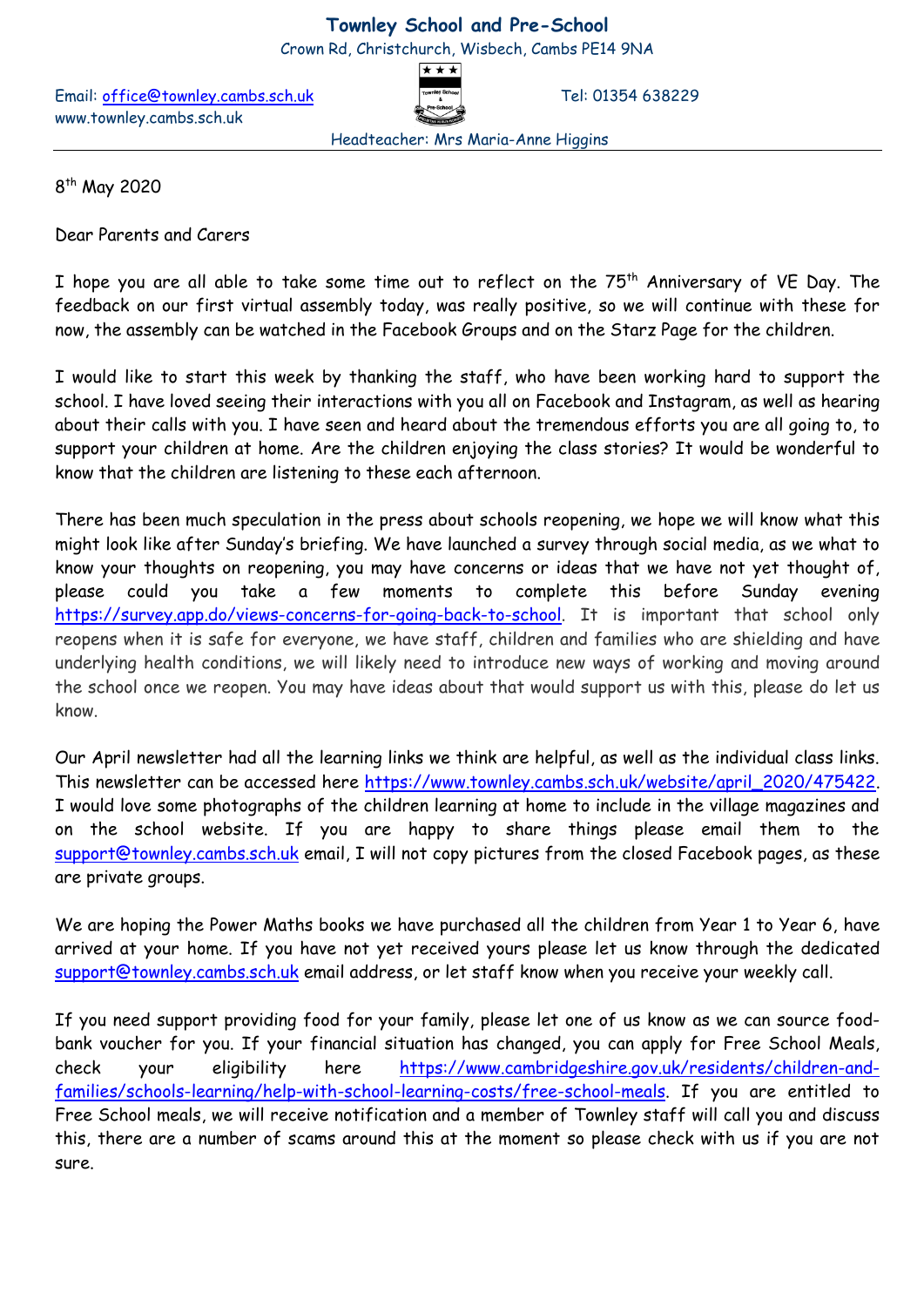## **Townley School and Pre-School**

Crown Rd, Christchurch, Wisbech, Cambs PE14 9NA

Email: [office@townley.cambs.sch.uk](mailto:office@townley.cambs.sch.uk) Tel: 01354 638229 www.townley.cambs.sch.uk

Headteacher: Mrs Maria-Anne Higgins

8<sup>th</sup> May 2020

Dear Parents and Carers

I hope you are all able to take some time out to reflect on the 75<sup>th</sup> Anniversary of VE Day. The feedback on our first virtual assembly today, was really positive, so we will continue with these for now, the assembly can be watched in the Facebook Groups and on the Starz Page for the children.

I would like to start this week by thanking the staff, who have been working hard to support the school. I have loved seeing their interactions with you all on Facebook and Instagram, as well as hearing about their calls with you. I have seen and heard about the tremendous efforts you are all going to, to support your children at home. Are the children enjoying the class stories? It would be wonderful to know that the children are listening to these each afternoon.

There has been much speculation in the press about schools reopening, we hope we will know what this might look like after Sunday's briefing. We have launched a survey through social media, as we what to know your thoughts on reopening, you may have concerns or ideas that we have not yet thought of, please could you take a few moments to complete this before Sunday evening [https://survey.app.do/views-concerns-for-going-back-to-school.](https://survey.app.do/views-concerns-for-going-back-to-school) It is important that school only reopens when it is safe for everyone, we have staff, children and families who are shielding and have underlying health conditions, we will likely need to introduce new ways of working and moving around the school once we reopen. You may have ideas about that would support us with this, please do let us know.

Our April newsletter had all the learning links we think are helpful, as well as the individual class links. This newsletter can be accessed here [https://www.townley.cambs.sch.uk/website/april\\_2020/475422.](https://www.townley.cambs.sch.uk/website/april_2020/475422) I would love some photographs of the children learning at home to include in the village magazines and on the school website. If you are happy to share things please email them to the [support@townley.cambs.sch.uk](mailto:support@townley.cambs.sch.uk) email, I will not copy pictures from the closed Facebook pages, as these are private groups.

We are hoping the Power Maths books we have purchased all the children from Year 1 to Year 6, have arrived at your home. If you have not yet received yours please let us know through the dedicated [support@townley.cambs.sch.uk](mailto:support@townley.cambs.sch.uk) email address, or let staff know when you receive your weekly call.

If you need support providing food for your family, please let one of us know as we can source foodbank voucher for you. If your financial situation has changed, you can apply for Free School Meals, check your eligibility here [https://www.cambridgeshire.gov.uk/residents/children-and](https://www.cambridgeshire.gov.uk/residents/children-and-families/schools-learning/help-with-school-learning-costs/free-school-meals)[families/schools-learning/help-with-school-learning-costs/free-school-meals.](https://www.cambridgeshire.gov.uk/residents/children-and-families/schools-learning/help-with-school-learning-costs/free-school-meals) If you are entitled to Free School meals, we will receive notification and a member of Townley staff will call you and discuss this, there are a number of scams around this at the moment so please check with us if you are not sure.